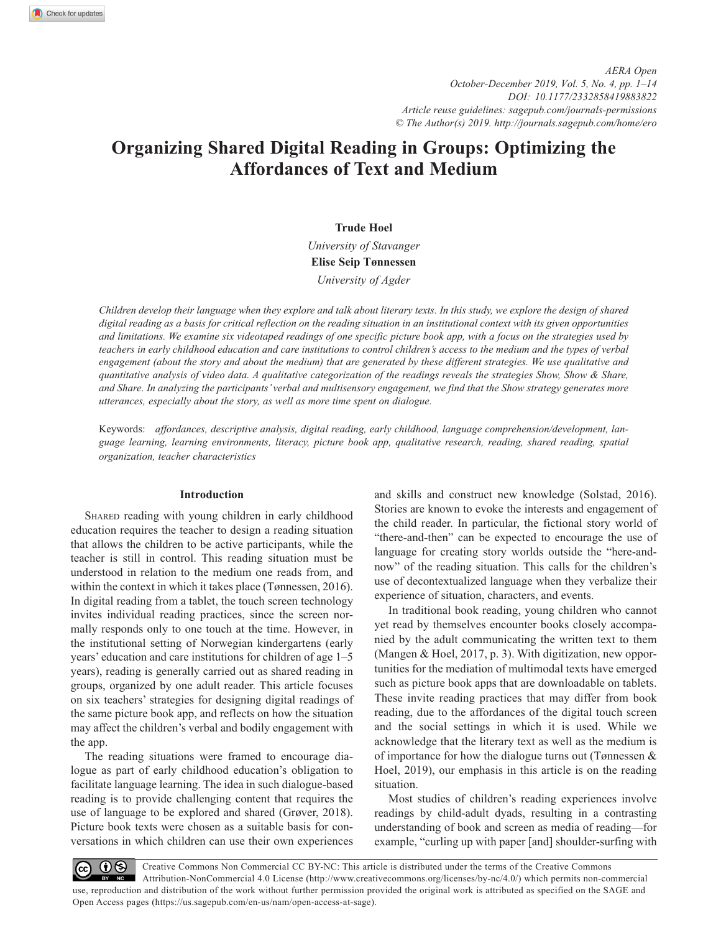# **Organizing Shared Digital Reading in Groups: Optimizing the Affordances of Text and Medium**

**Trude Hoel** *University of Stavanger* **Elise Seip Tønnessen** *University of Agder*

*Children develop their language when they explore and talk about literary texts. In this study, we explore the design of shared digital reading as a basis for critical reflection on the reading situation in an institutional context with its given opportunities and limitations. We examine six videotaped readings of one specific picture book app, with a focus on the strategies used by teachers in early childhood education and care institutions to control children's access to the medium and the types of verbal engagement (about the story and about the medium) that are generated by these different strategies. We use qualitative and quantitative analysis of video data. A qualitative categorization of the readings reveals the strategies Show, Show & Share, and Share. In analyzing the participants' verbal and multisensory engagement, we find that the Show strategy generates more utterances, especially about the story, as well as more time spent on dialogue.*

Keywords: *affordances, descriptive analysis, digital reading, early childhood, language comprehension/development, language learning, learning environments, literacy, picture book app, qualitative research, reading, shared reading, spatial organization, teacher characteristics*

#### **Introduction**

SHARED reading with young children in early childhood education requires the teacher to design a reading situation that allows the children to be active participants, while the teacher is still in control. This reading situation must be understood in relation to the medium one reads from, and within the context in which it takes place (Tønnessen, 2016). In digital reading from a tablet, the touch screen technology invites individual reading practices, since the screen normally responds only to one touch at the time. However, in the institutional setting of Norwegian kindergartens (early years' education and care institutions for children of age 1–5 years), reading is generally carried out as shared reading in groups, organized by one adult reader. This article focuses on six teachers' strategies for designing digital readings of the same picture book app, and reflects on how the situation may affect the children's verbal and bodily engagement with the app.

The reading situations were framed to encourage dialogue as part of early childhood education's obligation to facilitate language learning. The idea in such dialogue-based reading is to provide challenging content that requires the use of language to be explored and shared (Grøver, 2018). Picture book texts were chosen as a suitable basis for conversations in which children can use their own experiences and skills and construct new knowledge (Solstad, 2016). Stories are known to evoke the interests and engagement of the child reader. In particular, the fictional story world of "there-and-then" can be expected to encourage the use of language for creating story worlds outside the "here-andnow" of the reading situation. This calls for the children's use of decontextualized language when they verbalize their experience of situation, characters, and events.

In traditional book reading, young children who cannot yet read by themselves encounter books closely accompanied by the adult communicating the written text to them (Mangen & Hoel, 2017, p. 3). With digitization, new opportunities for the mediation of multimodal texts have emerged such as picture book apps that are downloadable on tablets. These invite reading practices that may differ from book reading, due to the affordances of the digital touch screen and the social settings in which it is used. While we acknowledge that the literary text as well as the medium is of importance for how the dialogue turns out (Tønnessen & Hoel, 2019), our emphasis in this article is on the reading situation.

Most studies of children's reading experiences involve readings by child-adult dyads, resulting in a contrasting understanding of book and screen as media of reading—for example, "curling up with paper [and] shoulder-surfing with

Creative Commons Non Commercial CC BY-NC: This article is distributed under the terms of the Creative Commons  $\odot$  $\left( c c \right)$ Attribution-NonCommercial 4.0 License (http://www.creativecommons.org/licenses/by-nc/4.0/) which permits non-commercial use, reproduction and distribution of the work without further permission provided the original work is attributed as specified on the SAGE and Open Access pages (https://us.sagepub.com/en-us/nam/open-access-at-sage).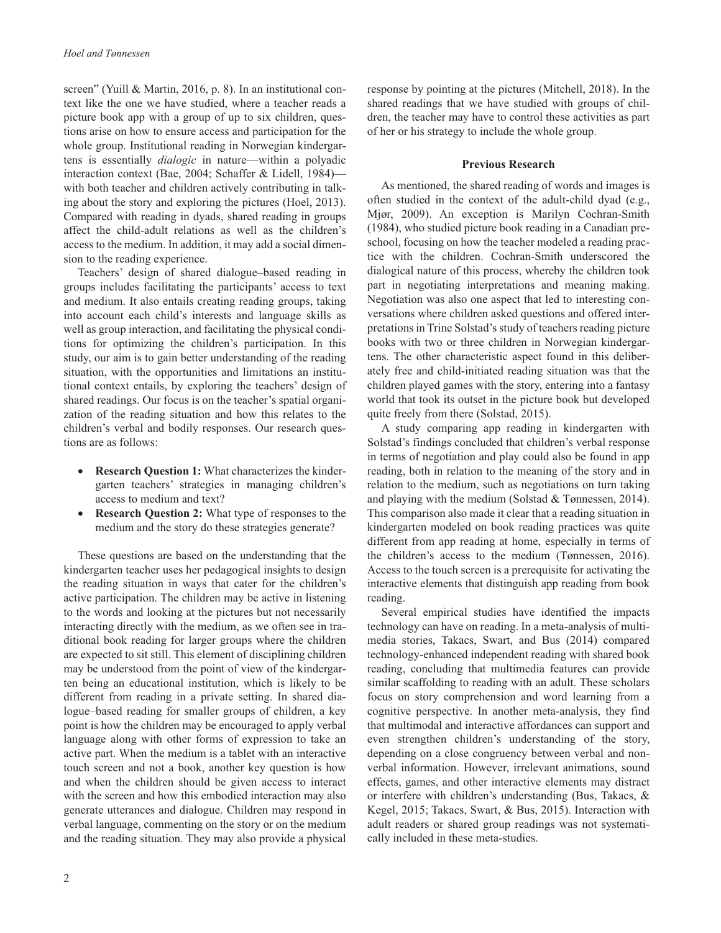screen" (Yuill & Martin, 2016, p. 8). In an institutional context like the one we have studied, where a teacher reads a picture book app with a group of up to six children, questions arise on how to ensure access and participation for the whole group. Institutional reading in Norwegian kindergartens is essentially *dialogic* in nature—within a polyadic interaction context (Bae, 2004; Schaffer & Lidell, 1984) with both teacher and children actively contributing in talking about the story and exploring the pictures (Hoel, 2013). Compared with reading in dyads, shared reading in groups affect the child-adult relations as well as the children's access to the medium. In addition, it may add a social dimension to the reading experience.

Teachers' design of shared dialogue–based reading in groups includes facilitating the participants' access to text and medium. It also entails creating reading groups, taking into account each child's interests and language skills as well as group interaction, and facilitating the physical conditions for optimizing the children's participation. In this study, our aim is to gain better understanding of the reading situation, with the opportunities and limitations an institutional context entails, by exploring the teachers' design of shared readings. Our focus is on the teacher's spatial organization of the reading situation and how this relates to the children's verbal and bodily responses. Our research questions are as follows:

- **Research Question 1:** What characterizes the kindergarten teachers' strategies in managing children's access to medium and text?
- **Research Question 2:** What type of responses to the medium and the story do these strategies generate?

These questions are based on the understanding that the kindergarten teacher uses her pedagogical insights to design the reading situation in ways that cater for the children's active participation. The children may be active in listening to the words and looking at the pictures but not necessarily interacting directly with the medium, as we often see in traditional book reading for larger groups where the children are expected to sit still. This element of disciplining children may be understood from the point of view of the kindergarten being an educational institution, which is likely to be different from reading in a private setting. In shared dialogue–based reading for smaller groups of children, a key point is how the children may be encouraged to apply verbal language along with other forms of expression to take an active part. When the medium is a tablet with an interactive touch screen and not a book, another key question is how and when the children should be given access to interact with the screen and how this embodied interaction may also generate utterances and dialogue. Children may respond in verbal language, commenting on the story or on the medium and the reading situation. They may also provide a physical

response by pointing at the pictures (Mitchell, 2018). In the shared readings that we have studied with groups of children, the teacher may have to control these activities as part of her or his strategy to include the whole group.

## **Previous Research**

As mentioned, the shared reading of words and images is often studied in the context of the adult-child dyad (e.g., Mjør, 2009). An exception is Marilyn Cochran-Smith (1984), who studied picture book reading in a Canadian preschool, focusing on how the teacher modeled a reading practice with the children. Cochran-Smith underscored the dialogical nature of this process, whereby the children took part in negotiating interpretations and meaning making. Negotiation was also one aspect that led to interesting conversations where children asked questions and offered interpretations in Trine Solstad's study of teachers reading picture books with two or three children in Norwegian kindergartens. The other characteristic aspect found in this deliberately free and child-initiated reading situation was that the children played games with the story, entering into a fantasy world that took its outset in the picture book but developed quite freely from there (Solstad, 2015).

A study comparing app reading in kindergarten with Solstad's findings concluded that children's verbal response in terms of negotiation and play could also be found in app reading, both in relation to the meaning of the story and in relation to the medium, such as negotiations on turn taking and playing with the medium (Solstad & Tønnessen, 2014). This comparison also made it clear that a reading situation in kindergarten modeled on book reading practices was quite different from app reading at home, especially in terms of the children's access to the medium (Tønnessen, 2016). Access to the touch screen is a prerequisite for activating the interactive elements that distinguish app reading from book reading.

Several empirical studies have identified the impacts technology can have on reading. In a meta-analysis of multimedia stories, Takacs, Swart, and Bus (2014) compared technology-enhanced independent reading with shared book reading, concluding that multimedia features can provide similar scaffolding to reading with an adult. These scholars focus on story comprehension and word learning from a cognitive perspective. In another meta-analysis, they find that multimodal and interactive affordances can support and even strengthen children's understanding of the story, depending on a close congruency between verbal and nonverbal information. However, irrelevant animations, sound effects, games, and other interactive elements may distract or interfere with children's understanding (Bus, Takacs, & Kegel, 2015; Takacs, Swart, & Bus, 2015). Interaction with adult readers or shared group readings was not systematically included in these meta-studies.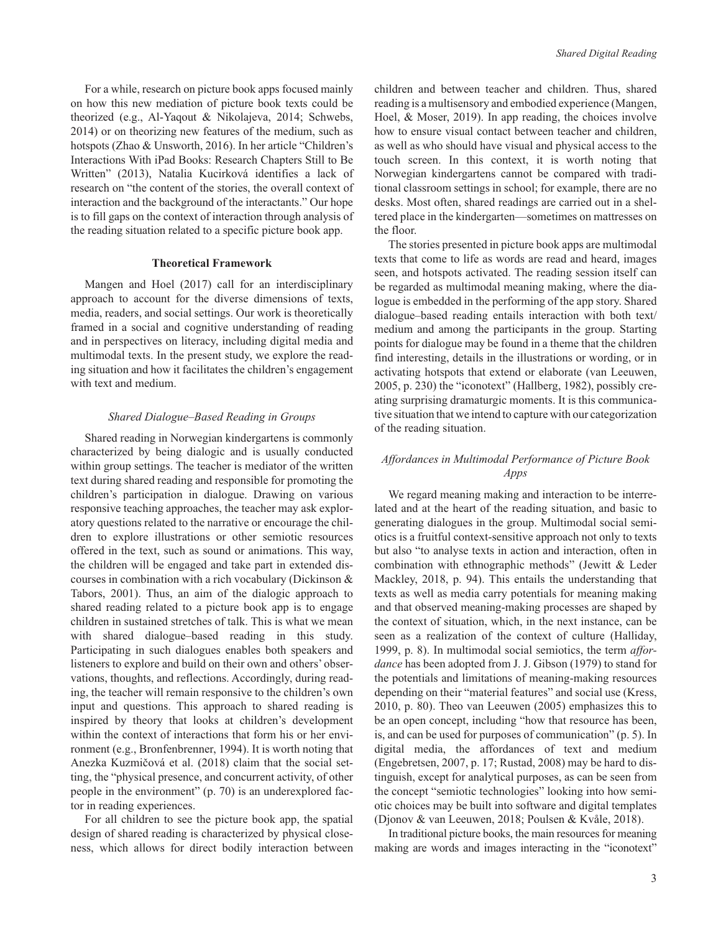For a while, research on picture book apps focused mainly on how this new mediation of picture book texts could be theorized (e.g., Al-Yaqout & Nikolajeva, 2014; Schwebs, 2014) or on theorizing new features of the medium, such as hotspots (Zhao & Unsworth, 2016). In her article "Children's Interactions With iPad Books: Research Chapters Still to Be Written" (2013), Natalia Kucirková identifies a lack of research on "the content of the stories, the overall context of interaction and the background of the interactants." Our hope is to fill gaps on the context of interaction through analysis of the reading situation related to a specific picture book app.

#### **Theoretical Framework**

Mangen and Hoel (2017) call for an interdisciplinary approach to account for the diverse dimensions of texts, media, readers, and social settings. Our work is theoretically framed in a social and cognitive understanding of reading and in perspectives on literacy, including digital media and multimodal texts. In the present study, we explore the reading situation and how it facilitates the children's engagement with text and medium.

#### *Shared Dialogue–Based Reading in Groups*

Shared reading in Norwegian kindergartens is commonly characterized by being dialogic and is usually conducted within group settings. The teacher is mediator of the written text during shared reading and responsible for promoting the children's participation in dialogue. Drawing on various responsive teaching approaches, the teacher may ask exploratory questions related to the narrative or encourage the children to explore illustrations or other semiotic resources offered in the text, such as sound or animations. This way, the children will be engaged and take part in extended discourses in combination with a rich vocabulary (Dickinson & Tabors, 2001). Thus, an aim of the dialogic approach to shared reading related to a picture book app is to engage children in sustained stretches of talk. This is what we mean with shared dialogue–based reading in this study. Participating in such dialogues enables both speakers and listeners to explore and build on their own and others' observations, thoughts, and reflections. Accordingly, during reading, the teacher will remain responsive to the children's own input and questions. This approach to shared reading is inspired by theory that looks at children's development within the context of interactions that form his or her environment (e.g., Bronfenbrenner, 1994). It is worth noting that Anezka Kuzmičová et al. (2018) claim that the social setting, the "physical presence, and concurrent activity, of other people in the environment" (p. 70) is an underexplored factor in reading experiences.

For all children to see the picture book app, the spatial design of shared reading is characterized by physical closeness, which allows for direct bodily interaction between

children and between teacher and children. Thus, shared reading is a multisensory and embodied experience (Mangen, Hoel, & Moser, 2019). In app reading, the choices involve how to ensure visual contact between teacher and children, as well as who should have visual and physical access to the touch screen. In this context, it is worth noting that Norwegian kindergartens cannot be compared with traditional classroom settings in school; for example, there are no desks. Most often, shared readings are carried out in a sheltered place in the kindergarten—sometimes on mattresses on the floor.

The stories presented in picture book apps are multimodal texts that come to life as words are read and heard, images seen, and hotspots activated. The reading session itself can be regarded as multimodal meaning making, where the dialogue is embedded in the performing of the app story. Shared dialogue–based reading entails interaction with both text/ medium and among the participants in the group. Starting points for dialogue may be found in a theme that the children find interesting, details in the illustrations or wording, or in activating hotspots that extend or elaborate (van Leeuwen, 2005, p. 230) the "iconotext" (Hallberg, 1982), possibly creating surprising dramaturgic moments. It is this communicative situation that we intend to capture with our categorization of the reading situation.

# *Affordances in Multimodal Performance of Picture Book Apps*

We regard meaning making and interaction to be interrelated and at the heart of the reading situation, and basic to generating dialogues in the group. Multimodal social semiotics is a fruitful context-sensitive approach not only to texts but also "to analyse texts in action and interaction, often in combination with ethnographic methods" (Jewitt & Leder Mackley, 2018, p. 94). This entails the understanding that texts as well as media carry potentials for meaning making and that observed meaning-making processes are shaped by the context of situation, which, in the next instance, can be seen as a realization of the context of culture (Halliday, 1999, p. 8). In multimodal social semiotics, the term *affordance* has been adopted from J. J. Gibson (1979) to stand for the potentials and limitations of meaning-making resources depending on their "material features" and social use (Kress, 2010, p. 80). Theo van Leeuwen (2005) emphasizes this to be an open concept, including "how that resource has been, is, and can be used for purposes of communication" (p. 5). In digital media, the affordances of text and medium (Engebretsen, 2007, p. 17; Rustad, 2008) may be hard to distinguish, except for analytical purposes, as can be seen from the concept "semiotic technologies" looking into how semiotic choices may be built into software and digital templates (Djonov & van Leeuwen, 2018; Poulsen & Kvåle, 2018).

In traditional picture books, the main resources for meaning making are words and images interacting in the "iconotext"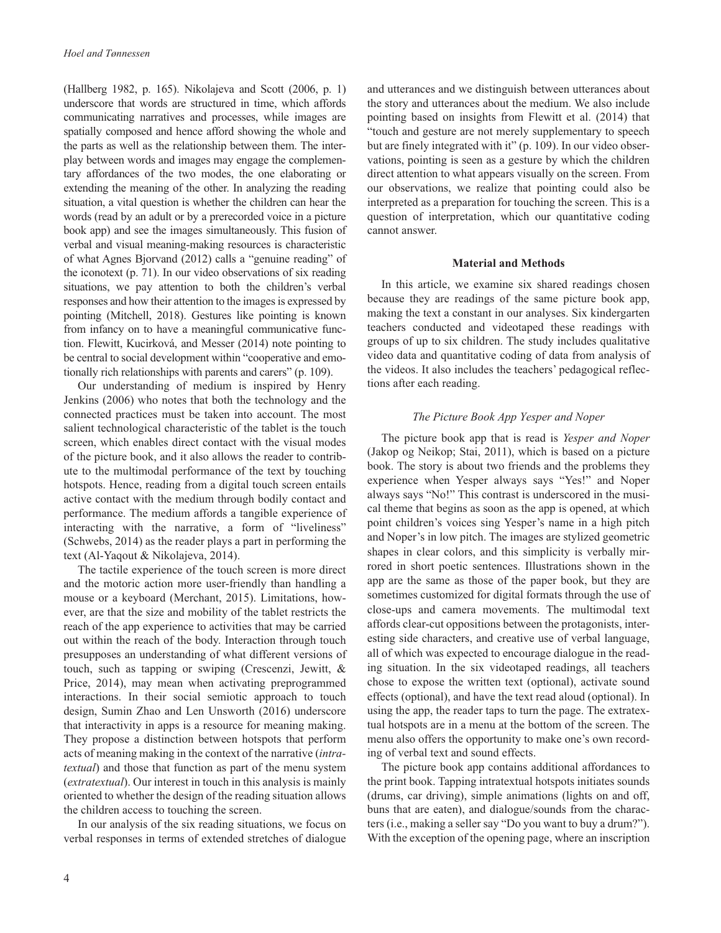(Hallberg 1982, p. 165). Nikolajeva and Scott (2006, p. 1) underscore that words are structured in time, which affords communicating narratives and processes, while images are spatially composed and hence afford showing the whole and the parts as well as the relationship between them. The interplay between words and images may engage the complementary affordances of the two modes, the one elaborating or extending the meaning of the other. In analyzing the reading situation, a vital question is whether the children can hear the words (read by an adult or by a prerecorded voice in a picture book app) and see the images simultaneously. This fusion of verbal and visual meaning-making resources is characteristic of what Agnes Bjorvand (2012) calls a "genuine reading" of the iconotext (p. 71). In our video observations of six reading situations, we pay attention to both the children's verbal responses and how their attention to the images is expressed by pointing (Mitchell, 2018). Gestures like pointing is known from infancy on to have a meaningful communicative function. Flewitt, Kucirková, and Messer (2014) note pointing to be central to social development within "cooperative and emotionally rich relationships with parents and carers" (p. 109).

Our understanding of medium is inspired by Henry Jenkins (2006) who notes that both the technology and the connected practices must be taken into account. The most salient technological characteristic of the tablet is the touch screen, which enables direct contact with the visual modes of the picture book, and it also allows the reader to contribute to the multimodal performance of the text by touching hotspots. Hence, reading from a digital touch screen entails active contact with the medium through bodily contact and performance. The medium affords a tangible experience of interacting with the narrative, a form of "liveliness" (Schwebs, 2014) as the reader plays a part in performing the text (Al-Yaqout & Nikolajeva, 2014).

The tactile experience of the touch screen is more direct and the motoric action more user-friendly than handling a mouse or a keyboard (Merchant, 2015). Limitations, however, are that the size and mobility of the tablet restricts the reach of the app experience to activities that may be carried out within the reach of the body. Interaction through touch presupposes an understanding of what different versions of touch, such as tapping or swiping (Crescenzi, Jewitt, & Price, 2014), may mean when activating preprogrammed interactions. In their social semiotic approach to touch design, Sumin Zhao and Len Unsworth (2016) underscore that interactivity in apps is a resource for meaning making. They propose a distinction between hotspots that perform acts of meaning making in the context of the narrative (*intratextual*) and those that function as part of the menu system (*extratextual*). Our interest in touch in this analysis is mainly oriented to whether the design of the reading situation allows the children access to touching the screen.

In our analysis of the six reading situations, we focus on verbal responses in terms of extended stretches of dialogue and utterances and we distinguish between utterances about the story and utterances about the medium. We also include pointing based on insights from Flewitt et al. (2014) that "touch and gesture are not merely supplementary to speech but are finely integrated with it" (p. 109). In our video observations, pointing is seen as a gesture by which the children direct attention to what appears visually on the screen. From our observations, we realize that pointing could also be interpreted as a preparation for touching the screen. This is a question of interpretation, which our quantitative coding cannot answer.

#### **Material and Methods**

In this article, we examine six shared readings chosen because they are readings of the same picture book app, making the text a constant in our analyses. Six kindergarten teachers conducted and videotaped these readings with groups of up to six children. The study includes qualitative video data and quantitative coding of data from analysis of the videos. It also includes the teachers' pedagogical reflections after each reading.

#### *The Picture Book App Yesper and Noper*

The picture book app that is read is *Yesper and Noper* (Jakop og Neikop; Stai, 2011), which is based on a picture book. The story is about two friends and the problems they experience when Yesper always says "Yes!" and Noper always says "No!" This contrast is underscored in the musical theme that begins as soon as the app is opened, at which point children's voices sing Yesper's name in a high pitch and Noper's in low pitch. The images are stylized geometric shapes in clear colors, and this simplicity is verbally mirrored in short poetic sentences. Illustrations shown in the app are the same as those of the paper book, but they are sometimes customized for digital formats through the use of close-ups and camera movements. The multimodal text affords clear-cut oppositions between the protagonists, interesting side characters, and creative use of verbal language, all of which was expected to encourage dialogue in the reading situation. In the six videotaped readings, all teachers chose to expose the written text (optional), activate sound effects (optional), and have the text read aloud (optional). In using the app, the reader taps to turn the page. The extratextual hotspots are in a menu at the bottom of the screen. The menu also offers the opportunity to make one's own recording of verbal text and sound effects.

The picture book app contains additional affordances to the print book. Tapping intratextual hotspots initiates sounds (drums, car driving), simple animations (lights on and off, buns that are eaten), and dialogue/sounds from the characters (i.e., making a seller say "Do you want to buy a drum?"). With the exception of the opening page, where an inscription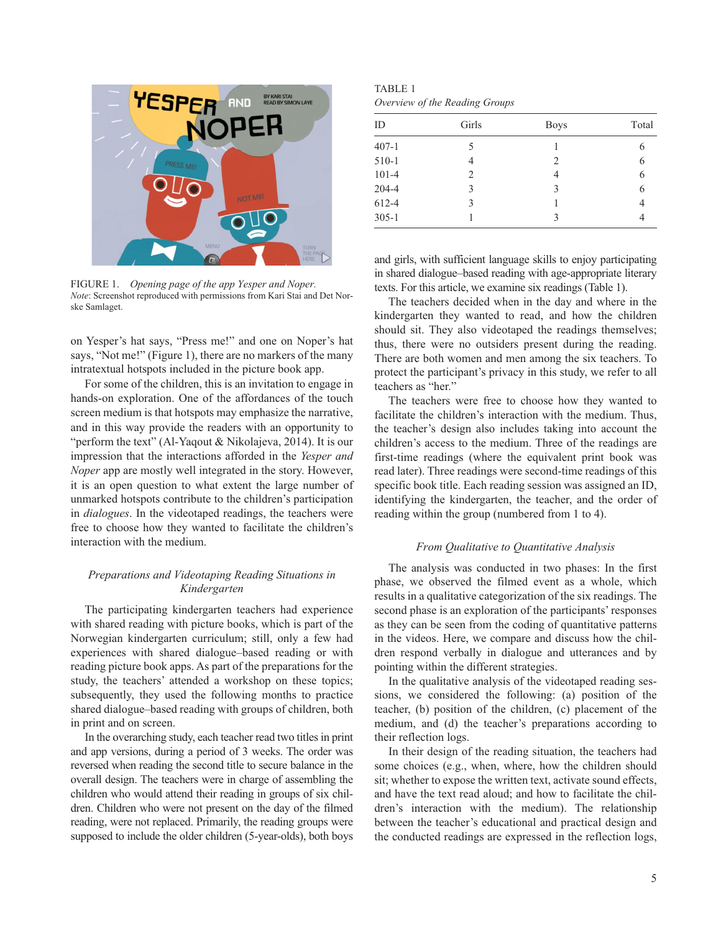

FIGURE 1. *Opening page of the app Yesper and Noper. Note*: Screenshot reproduced with permissions from Kari Stai and Det Norske Samlaget.

on Yesper's hat says, "Press me!" and one on Noper's hat says, "Not me!" (Figure 1), there are no markers of the many intratextual hotspots included in the picture book app.

For some of the children, this is an invitation to engage in hands-on exploration. One of the affordances of the touch screen medium is that hotspots may emphasize the narrative, and in this way provide the readers with an opportunity to "perform the text" (Al-Yaqout & Nikolajeva, 2014). It is our impression that the interactions afforded in the *Yesper and Noper* app are mostly well integrated in the story. However, it is an open question to what extent the large number of unmarked hotspots contribute to the children's participation in *dialogues*. In the videotaped readings, the teachers were free to choose how they wanted to facilitate the children's interaction with the medium.

# *Preparations and Videotaping Reading Situations in Kindergarten*

The participating kindergarten teachers had experience with shared reading with picture books, which is part of the Norwegian kindergarten curriculum; still, only a few had experiences with shared dialogue–based reading or with reading picture book apps. As part of the preparations for the study, the teachers' attended a workshop on these topics; subsequently, they used the following months to practice shared dialogue–based reading with groups of children, both in print and on screen.

In the overarching study, each teacher read two titles in print and app versions, during a period of 3 weeks. The order was reversed when reading the second title to secure balance in the overall design. The teachers were in charge of assembling the children who would attend their reading in groups of six children. Children who were not present on the day of the filmed reading, were not replaced. Primarily, the reading groups were supposed to include the older children (5-year-olds), both boys

TABLE 1 *Overview of the Reading Groups*

| ID        | Girls | <b>Boys</b> | Total |
|-----------|-------|-------------|-------|
| $407 - 1$ | 5     |             | 6     |
| 510-1     | 4     | 2           | 6     |
| $101 - 4$ | 2     | 4           | 6     |
| 204-4     | 3     | 3           | 6     |
| 612-4     | 3     |             | 4     |
| $305 - 1$ |       | 3           |       |

and girls, with sufficient language skills to enjoy participating in shared dialogue–based reading with age-appropriate literary texts. For this article, we examine six readings (Table 1).

The teachers decided when in the day and where in the kindergarten they wanted to read, and how the children should sit. They also videotaped the readings themselves; thus, there were no outsiders present during the reading. There are both women and men among the six teachers. To protect the participant's privacy in this study, we refer to all teachers as "her."

The teachers were free to choose how they wanted to facilitate the children's interaction with the medium. Thus, the teacher's design also includes taking into account the children's access to the medium. Three of the readings are first-time readings (where the equivalent print book was read later). Three readings were second-time readings of this specific book title. Each reading session was assigned an ID, identifying the kindergarten, the teacher, and the order of reading within the group (numbered from 1 to 4).

#### *From Qualitative to Quantitative Analysis*

The analysis was conducted in two phases: In the first phase, we observed the filmed event as a whole, which results in a qualitative categorization of the six readings. The second phase is an exploration of the participants' responses as they can be seen from the coding of quantitative patterns in the videos. Here, we compare and discuss how the children respond verbally in dialogue and utterances and by pointing within the different strategies.

In the qualitative analysis of the videotaped reading sessions, we considered the following: (a) position of the teacher, (b) position of the children, (c) placement of the medium, and (d) the teacher's preparations according to their reflection logs.

In their design of the reading situation, the teachers had some choices (e.g., when, where, how the children should sit; whether to expose the written text, activate sound effects, and have the text read aloud; and how to facilitate the children's interaction with the medium). The relationship between the teacher's educational and practical design and the conducted readings are expressed in the reflection logs,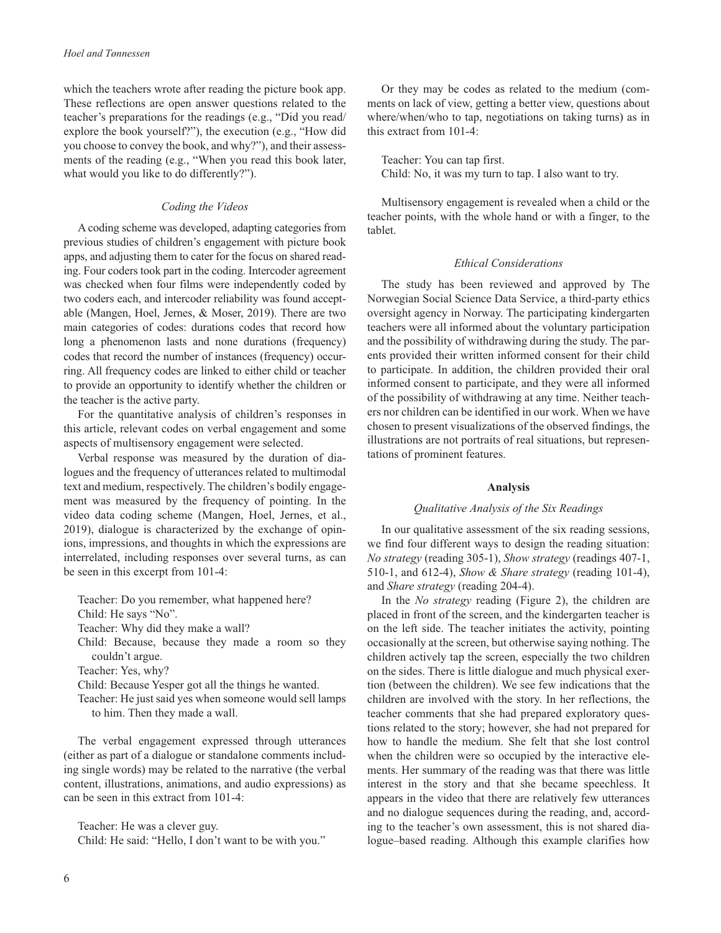which the teachers wrote after reading the picture book app. These reflections are open answer questions related to the teacher's preparations for the readings (e.g., "Did you read/ explore the book yourself?"), the execution (e.g., "How did you choose to convey the book, and why?"), and their assessments of the reading (e.g., "When you read this book later, what would you like to do differently?").

## *Coding the Videos*

A coding scheme was developed, adapting categories from previous studies of children's engagement with picture book apps, and adjusting them to cater for the focus on shared reading. Four coders took part in the coding. Intercoder agreement was checked when four films were independently coded by two coders each, and intercoder reliability was found acceptable (Mangen, Hoel, Jernes, & Moser, 2019). There are two main categories of codes: durations codes that record how long a phenomenon lasts and none durations (frequency) codes that record the number of instances (frequency) occurring. All frequency codes are linked to either child or teacher to provide an opportunity to identify whether the children or the teacher is the active party.

For the quantitative analysis of children's responses in this article, relevant codes on verbal engagement and some aspects of multisensory engagement were selected.

Verbal response was measured by the duration of dialogues and the frequency of utterances related to multimodal text and medium, respectively. The children's bodily engagement was measured by the frequency of pointing. In the video data coding scheme (Mangen, Hoel, Jernes, et al., 2019), dialogue is characterized by the exchange of opinions, impressions, and thoughts in which the expressions are interrelated, including responses over several turns, as can be seen in this excerpt from 101-4:

Teacher: Do you remember, what happened here? Child: He says "No". Teacher: Why did they make a wall? Child: Because, because they made a room so they couldn't argue. Teacher: Yes, why?

Child: Because Yesper got all the things he wanted.

Teacher: He just said yes when someone would sell lamps to him. Then they made a wall.

The verbal engagement expressed through utterances (either as part of a dialogue or standalone comments including single words) may be related to the narrative (the verbal content, illustrations, animations, and audio expressions) as can be seen in this extract from 101-4:

Teacher: He was a clever guy.

Child: He said: "Hello, I don't want to be with you."

Or they may be codes as related to the medium (comments on lack of view, getting a better view, questions about where/when/who to tap, negotiations on taking turns) as in this extract from 101-4:

Teacher: You can tap first. Child: No, it was my turn to tap. I also want to try.

Multisensory engagement is revealed when a child or the teacher points, with the whole hand or with a finger, to the tablet.

#### *Ethical Considerations*

The study has been reviewed and approved by The Norwegian Social Science Data Service, a third-party ethics oversight agency in Norway. The participating kindergarten teachers were all informed about the voluntary participation and the possibility of withdrawing during the study. The parents provided their written informed consent for their child to participate. In addition, the children provided their oral informed consent to participate, and they were all informed of the possibility of withdrawing at any time. Neither teachers nor children can be identified in our work. When we have chosen to present visualizations of the observed findings, the illustrations are not portraits of real situations, but representations of prominent features.

#### **Analysis**

#### *Qualitative Analysis of the Six Readings*

In our qualitative assessment of the six reading sessions, we find four different ways to design the reading situation: *No strategy* (reading 305-1), *Show strategy* (readings 407-1, 510-1, and 612-4), *Show & Share strategy* (reading 101-4), and *Share strategy* (reading 204-4).

In the *No strategy* reading (Figure 2), the children are placed in front of the screen, and the kindergarten teacher is on the left side. The teacher initiates the activity, pointing occasionally at the screen, but otherwise saying nothing. The children actively tap the screen, especially the two children on the sides. There is little dialogue and much physical exertion (between the children). We see few indications that the children are involved with the story. In her reflections, the teacher comments that she had prepared exploratory questions related to the story; however, she had not prepared for how to handle the medium. She felt that she lost control when the children were so occupied by the interactive elements. Her summary of the reading was that there was little interest in the story and that she became speechless. It appears in the video that there are relatively few utterances and no dialogue sequences during the reading, and, according to the teacher's own assessment, this is not shared dialogue–based reading. Although this example clarifies how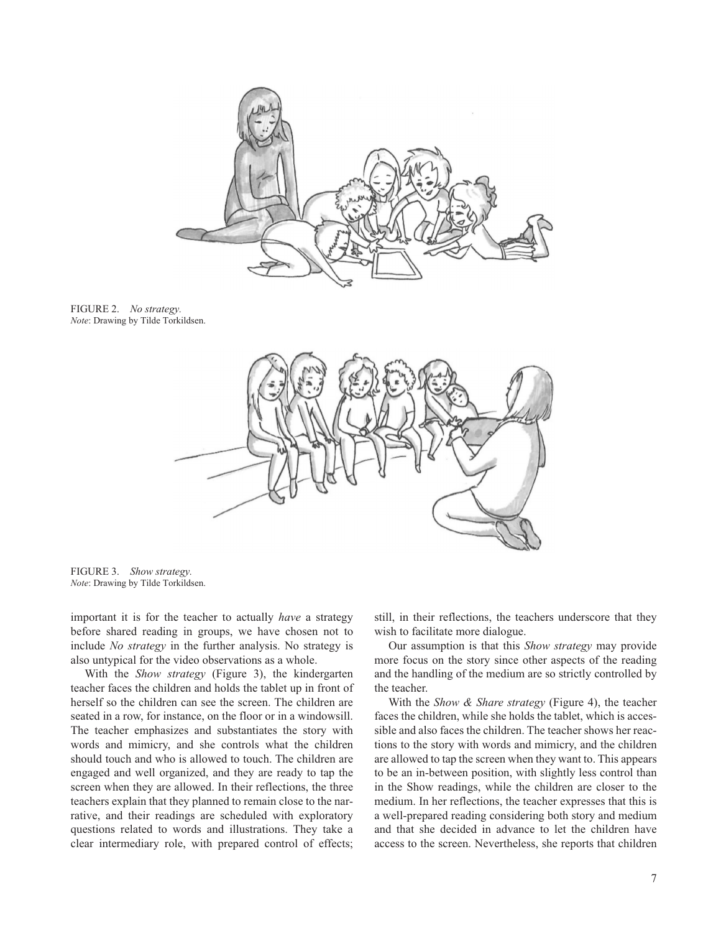

FIGURE 2. No strategy. *Note*: Drawing by Tilde Torkildsen.



FIGURE 3. Show strategy. *Note*: Drawing by Tilde Torkildsen.

important it is for the teacher to actually *have* a strategy before shared reading in groups, we have chosen not to include *No strategy* in the further analysis. No strategy is also untypical for the video observations as a whole.

With the *Show strategy* (Figure 3), the kindergarten teacher faces the children and holds the tablet up in front of herself so the children can see the screen. The children are seated in a row, for instance, on the floor or in a windowsill. The teacher emphasizes and substantiates the story with words and mimicry, and she controls what the children should touch and who is allowed to touch. The children are engaged and well organized, and they are ready to tap the screen when they are allowed. In their reflections, the three teachers explain that they planned to remain close to the narrative, and their readings are scheduled with exploratory questions related to words and illustrations. They take a clear intermediary role, with prepared control of effects;

still, in their reflections, the teachers underscore that they wish to facilitate more dialogue.

Our assumption is that this *Show strategy* may provide more focus on the story since other aspects of the reading and the handling of the medium are so strictly controlled by the teacher.

With the *Show & Share strategy* (Figure 4), the teacher faces the children, while she holds the tablet, which is accessible and also faces the children. The teacher shows her reactions to the story with words and mimicry, and the children are allowed to tap the screen when they want to. This appears to be an in-between position, with slightly less control than in the Show readings, while the children are closer to the medium. In her reflections, the teacher expresses that this is a well-prepared reading considering both story and medium and that she decided in advance to let the children have access to the screen. Nevertheless, she reports that children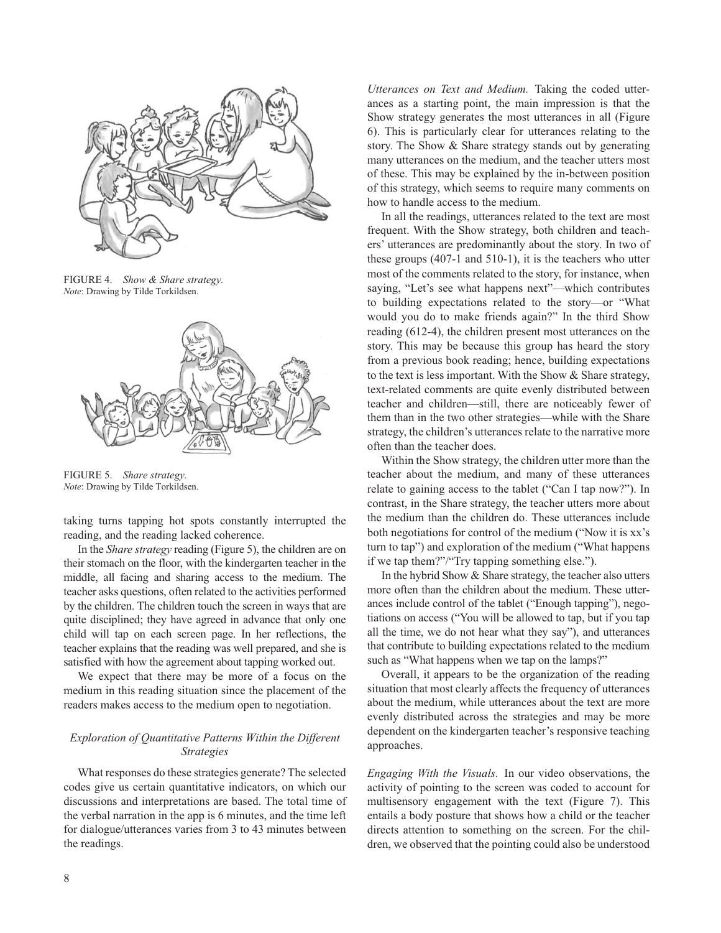

FIGURE 4. *Show & Share strategy. Note*: Drawing by Tilde Torkildsen.



FIGURE 5. Share strategy. *Note*: Drawing by Tilde Torkildsen.

taking turns tapping hot spots constantly interrupted the reading, and the reading lacked coherence.

In the *Share strategy* reading (Figure 5), the children are on their stomach on the floor, with the kindergarten teacher in the middle, all facing and sharing access to the medium. The teacher asks questions, often related to the activities performed by the children. The children touch the screen in ways that are quite disciplined; they have agreed in advance that only one child will tap on each screen page. In her reflections, the teacher explains that the reading was well prepared, and she is satisfied with how the agreement about tapping worked out.

We expect that there may be more of a focus on the medium in this reading situation since the placement of the readers makes access to the medium open to negotiation.

# *Exploration of Quantitative Patterns Within the Different Strategies*

What responses do these strategies generate? The selected codes give us certain quantitative indicators, on which our discussions and interpretations are based. The total time of the verbal narration in the app is 6 minutes, and the time left for dialogue/utterances varies from 3 to 43 minutes between the readings.

*Utterances on Text and Medium.* Taking the coded utterances as a starting point, the main impression is that the Show strategy generates the most utterances in all (Figure 6). This is particularly clear for utterances relating to the story. The Show & Share strategy stands out by generating many utterances on the medium, and the teacher utters most of these. This may be explained by the in-between position of this strategy, which seems to require many comments on how to handle access to the medium.

In all the readings, utterances related to the text are most frequent. With the Show strategy, both children and teachers' utterances are predominantly about the story. In two of these groups (407-1 and 510-1), it is the teachers who utter most of the comments related to the story, for instance, when saying, "Let's see what happens next"—which contributes to building expectations related to the story—or "What would you do to make friends again?" In the third Show reading (612-4), the children present most utterances on the story. This may be because this group has heard the story from a previous book reading; hence, building expectations to the text is less important. With the Show & Share strategy, text-related comments are quite evenly distributed between teacher and children—still, there are noticeably fewer of them than in the two other strategies—while with the Share strategy, the children's utterances relate to the narrative more often than the teacher does.

Within the Show strategy, the children utter more than the teacher about the medium, and many of these utterances relate to gaining access to the tablet ("Can I tap now?"). In contrast, in the Share strategy, the teacher utters more about the medium than the children do. These utterances include both negotiations for control of the medium ("Now it is xx's turn to tap") and exploration of the medium ("What happens if we tap them?"/"Try tapping something else.").

In the hybrid Show & Share strategy, the teacher also utters more often than the children about the medium. These utterances include control of the tablet ("Enough tapping"), negotiations on access ("You will be allowed to tap, but if you tap all the time, we do not hear what they say"), and utterances that contribute to building expectations related to the medium such as "What happens when we tap on the lamps?"

Overall, it appears to be the organization of the reading situation that most clearly affects the frequency of utterances about the medium, while utterances about the text are more evenly distributed across the strategies and may be more dependent on the kindergarten teacher's responsive teaching approaches.

*Engaging With the Visuals.* In our video observations, the activity of pointing to the screen was coded to account for multisensory engagement with the text (Figure 7). This entails a body posture that shows how a child or the teacher directs attention to something on the screen. For the children, we observed that the pointing could also be understood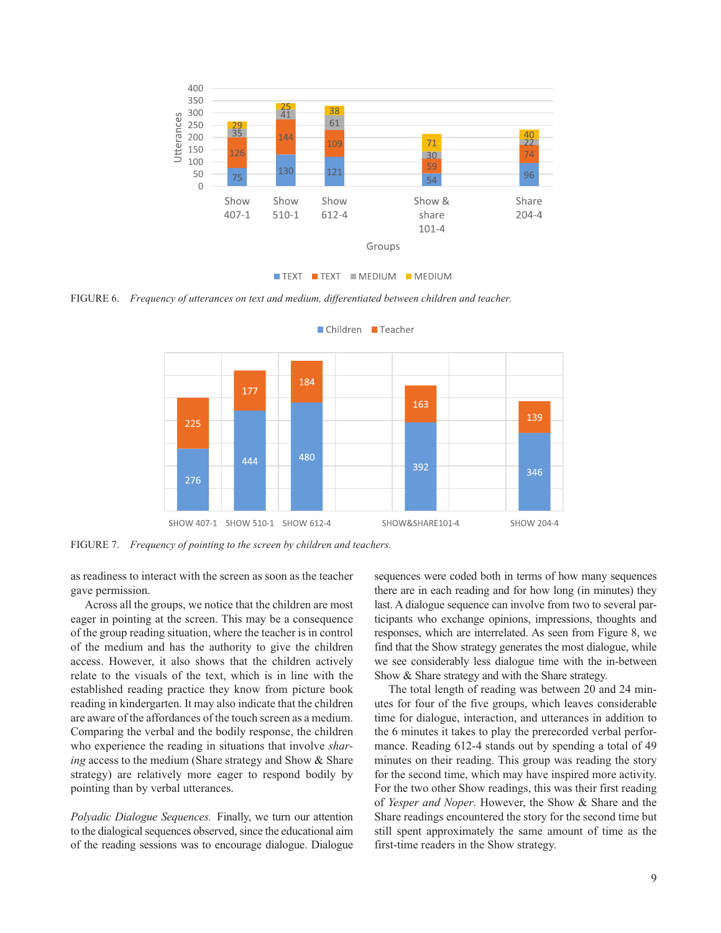

TEXT TEXT MEDIUM MEDIUM

FIGURE 6. Frequency of utterances on text and medium, differentiated between children and teacher.



Children Teacher

FIGURE 7. *Frequency of pointing to the screen by children and teachers.* 

as readiness to interact with the screen as soon as the teacher gave permission.

Across all the groups, we notice that the children are most eager in pointing at the screen. This may be a consequence of the group reading situation, where the teacher is in control of the medium and has the authority to give the children access. However, it also shows that the children actively relate to the visuals of the text, which is in line with the established reading practice they know from picture book reading in kindergarten. It may also indicate that the children are aware of the affordances of the touch screen as a medium. Comparing the verbal and the bodily response, the children who experience the reading in situations that involve *sharing* access to the medium (Share strategy and Show & Share strategy) are relatively more eager to respond bodily by pointing than by verbal utterances.

*Polyadic Dialogue Sequences.* Finally, we turn our attention to the dialogical sequences observed, since the educational aim of the reading sessions was to encourage dialogue. Dialogue sequences were coded both in terms of how many sequences there are in each reading and for how long (in minutes) they last. A dialogue sequence can involve from two to several participants who exchange opinions, impressions, thoughts and responses, which are interrelated. As seen from Figure 8, we find that the Show strategy generates the most dialogue, while we see considerably less dialogue time with the in-between Show & Share strategy and with the Share strategy.

The total length of reading was between 20 and 24 minutes for four of the five groups, which leaves considerable time for dialogue, interaction, and utterances in addition to the 6 minutes it takes to play the prerecorded verbal performance. Reading 612-4 stands out by spending a total of 49 minutes on their reading. This group was reading the story for the second time, which may have inspired more activity. For the two other Show readings, this was their first reading of *Yesper and Noper*. However, the Show & Share and the Share readings encountered the story for the second time but still spent approximately the same amount of time as the first-time readers in the Show strategy.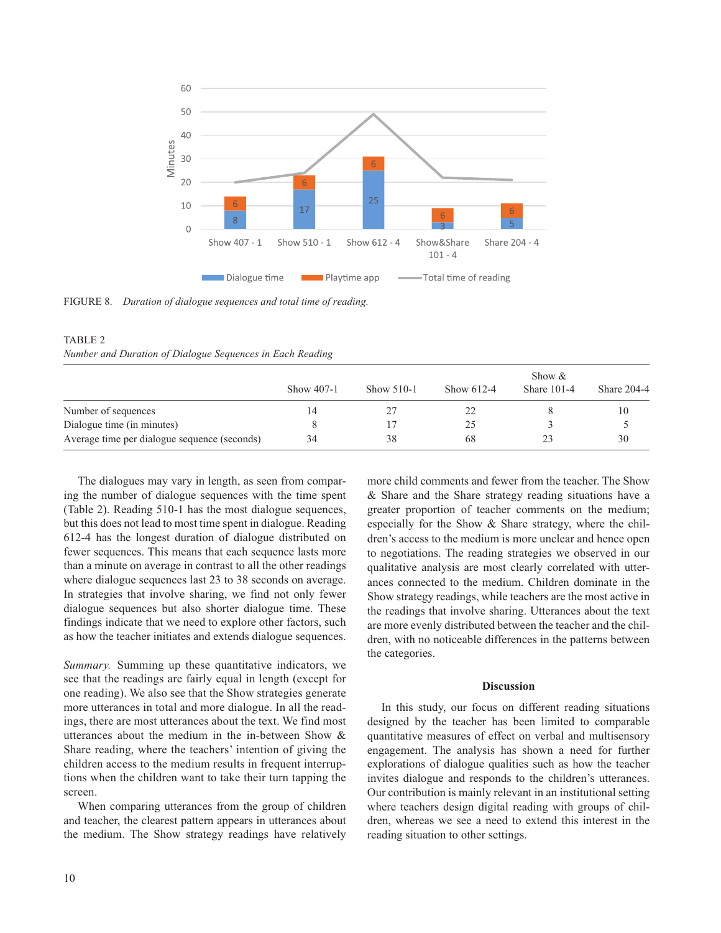

FIGURE 8. *Duration of dialogue sequences and total time of reading.* 

| TABLE 2                                                   |  |  |  |
|-----------------------------------------------------------|--|--|--|
| Number and Duration of Dialogue Sequences in Each Reading |  |  |  |

|                                              | Show 407-1 | Show 510-1 | Show $612-4$ | Show $&$<br><b>Share 101-4</b> | <b>Share 204-4</b> |
|----------------------------------------------|------------|------------|--------------|--------------------------------|--------------------|
| Number of sequences                          | 14         |            |              |                                | 10                 |
| Dialogue time (in minutes)                   |            |            | 25           |                                |                    |
| Average time per dialogue sequence (seconds) | 34         | 38         | 68           | 23                             | 30                 |

The dialogues may vary in length, as seen from comparing the number of dialogue sequences with the time spent (Table 2). Reading 510-1 has the most dialogue sequences, but this does not lead to most time spent in dialogue. Reading 612-4 has the longest duration of dialogue distributed on fewer sequences. This means that each sequence lasts more than a minute on average in contrast to all the other readings where dialogue sequences last 23 to 38 seconds on average. In strategies that involve sharing, we find not only fewer dialogue sequences but also shorter dialogue time. These findings indicate that we need to explore other factors, such as how the teacher initiates and extends dialogue sequences.

*Summary.* Summing up these quantitative indicators, we see that the readings are fairly equal in length (except for one reading). We also see that the Show strategies generate more utterances in total and more dialogue. In all the readings, there are most utterances about the text. We find most utterances about the medium in the in-between Show & Share reading, where the teachers' intention of giving the children access to the medium results in frequent interruptions when the children want to take their turn tapping the screen.

When comparing utterances from the group of children and teacher, the clearest pattern appears in utterances about the medium. The Show strategy readings have relatively more child comments and fewer from the teacher. The Show & Share and the Share strategy reading situations have a greater proportion of teacher comments on the medium; especially for the Show & Share strategy, where the children's access to the medium is more unclear and hence open to negotiations. The reading strategies we observed in our qualitative analysis are most clearly correlated with utterances connected to the medium. Children dominate in the Show strategy readings, while teachers are the most active in the readings that involve sharing. Utterances about the text are more evenly distributed between the teacher and the children, with no noticeable differences in the patterns between the categories.

### **Discussion**

In this study, our focus on different reading situations designed by the teacher has been limited to comparable quantitative measures of effect on verbal and multisensory engagement. The analysis has shown a need for further explorations of dialogue qualities such as how the teacher invites dialogue and responds to the children's utterances. Our contribution is mainly relevant in an institutional setting where teachers design digital reading with groups of children, whereas we see a need to extend this interest in the reading situation to other settings.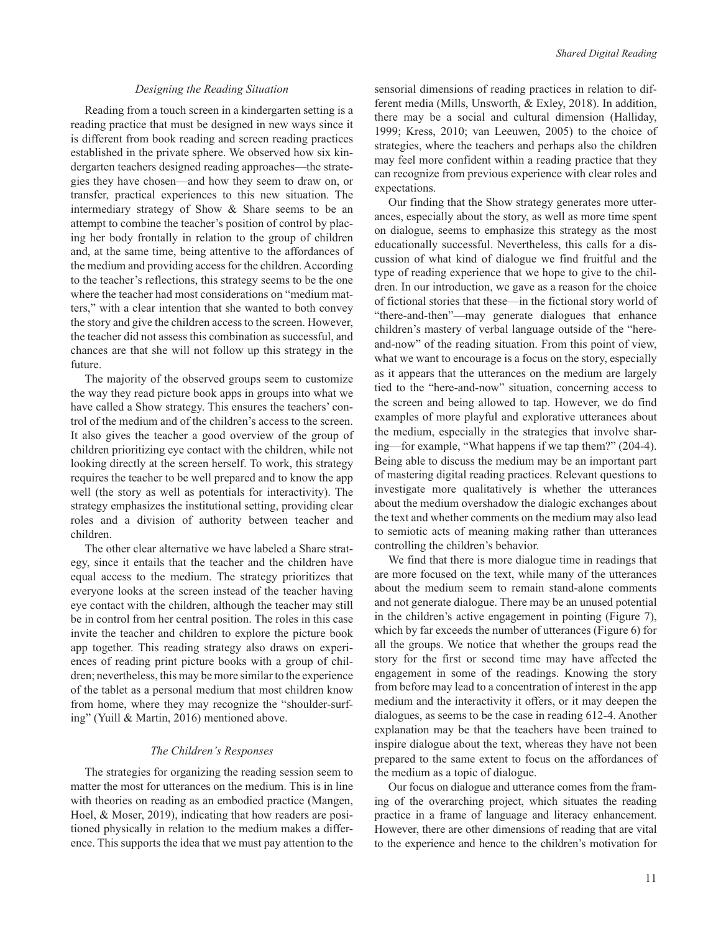## *Designing the Reading Situation*

Reading from a touch screen in a kindergarten setting is a reading practice that must be designed in new ways since it is different from book reading and screen reading practices established in the private sphere. We observed how six kindergarten teachers designed reading approaches—the strategies they have chosen—and how they seem to draw on, or transfer, practical experiences to this new situation. The intermediary strategy of Show & Share seems to be an attempt to combine the teacher's position of control by placing her body frontally in relation to the group of children and, at the same time, being attentive to the affordances of the medium and providing access for the children. According to the teacher's reflections, this strategy seems to be the one where the teacher had most considerations on "medium matters," with a clear intention that she wanted to both convey the story and give the children access to the screen. However, the teacher did not assess this combination as successful, and chances are that she will not follow up this strategy in the future.

The majority of the observed groups seem to customize the way they read picture book apps in groups into what we have called a Show strategy. This ensures the teachers' control of the medium and of the children's access to the screen. It also gives the teacher a good overview of the group of children prioritizing eye contact with the children, while not looking directly at the screen herself. To work, this strategy requires the teacher to be well prepared and to know the app well (the story as well as potentials for interactivity). The strategy emphasizes the institutional setting, providing clear roles and a division of authority between teacher and children.

The other clear alternative we have labeled a Share strategy, since it entails that the teacher and the children have equal access to the medium. The strategy prioritizes that everyone looks at the screen instead of the teacher having eye contact with the children, although the teacher may still be in control from her central position. The roles in this case invite the teacher and children to explore the picture book app together. This reading strategy also draws on experiences of reading print picture books with a group of children; nevertheless, this may be more similar to the experience of the tablet as a personal medium that most children know from home, where they may recognize the "shoulder-surfing" (Yuill & Martin, 2016) mentioned above.

#### *The Children's Responses*

The strategies for organizing the reading session seem to matter the most for utterances on the medium. This is in line with theories on reading as an embodied practice (Mangen, Hoel, & Moser, 2019), indicating that how readers are positioned physically in relation to the medium makes a difference. This supports the idea that we must pay attention to the sensorial dimensions of reading practices in relation to different media (Mills, Unsworth, & Exley, 2018). In addition, there may be a social and cultural dimension (Halliday, 1999; Kress, 2010; van Leeuwen, 2005) to the choice of strategies, where the teachers and perhaps also the children may feel more confident within a reading practice that they can recognize from previous experience with clear roles and expectations.

Our finding that the Show strategy generates more utterances, especially about the story, as well as more time spent on dialogue, seems to emphasize this strategy as the most educationally successful. Nevertheless, this calls for a discussion of what kind of dialogue we find fruitful and the type of reading experience that we hope to give to the children. In our introduction, we gave as a reason for the choice of fictional stories that these—in the fictional story world of "there-and-then"—may generate dialogues that enhance children's mastery of verbal language outside of the "hereand-now" of the reading situation. From this point of view, what we want to encourage is a focus on the story, especially as it appears that the utterances on the medium are largely tied to the "here-and-now" situation, concerning access to the screen and being allowed to tap. However, we do find examples of more playful and explorative utterances about the medium, especially in the strategies that involve sharing—for example, "What happens if we tap them?" (204-4). Being able to discuss the medium may be an important part of mastering digital reading practices. Relevant questions to investigate more qualitatively is whether the utterances about the medium overshadow the dialogic exchanges about the text and whether comments on the medium may also lead to semiotic acts of meaning making rather than utterances controlling the children's behavior.

We find that there is more dialogue time in readings that are more focused on the text, while many of the utterances about the medium seem to remain stand-alone comments and not generate dialogue. There may be an unused potential in the children's active engagement in pointing (Figure 7), which by far exceeds the number of utterances (Figure 6) for all the groups. We notice that whether the groups read the story for the first or second time may have affected the engagement in some of the readings. Knowing the story from before may lead to a concentration of interest in the app medium and the interactivity it offers, or it may deepen the dialogues, as seems to be the case in reading 612-4. Another explanation may be that the teachers have been trained to inspire dialogue about the text, whereas they have not been prepared to the same extent to focus on the affordances of the medium as a topic of dialogue.

Our focus on dialogue and utterance comes from the framing of the overarching project, which situates the reading practice in a frame of language and literacy enhancement. However, there are other dimensions of reading that are vital to the experience and hence to the children's motivation for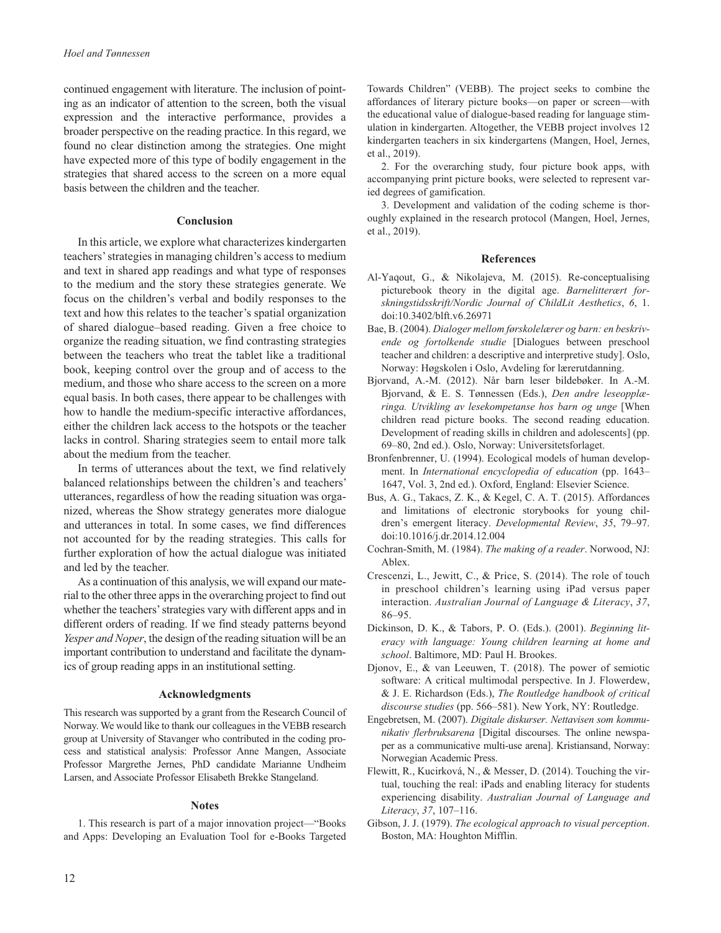continued engagement with literature. The inclusion of pointing as an indicator of attention to the screen, both the visual expression and the interactive performance, provides a broader perspective on the reading practice. In this regard, we found no clear distinction among the strategies. One might have expected more of this type of bodily engagement in the strategies that shared access to the screen on a more equal basis between the children and the teacher.

## **Conclusion**

In this article, we explore what characterizes kindergarten teachers' strategies in managing children's access to medium and text in shared app readings and what type of responses to the medium and the story these strategies generate. We focus on the children's verbal and bodily responses to the text and how this relates to the teacher's spatial organization of shared dialogue–based reading. Given a free choice to organize the reading situation, we find contrasting strategies between the teachers who treat the tablet like a traditional book, keeping control over the group and of access to the medium, and those who share access to the screen on a more equal basis. In both cases, there appear to be challenges with how to handle the medium-specific interactive affordances, either the children lack access to the hotspots or the teacher lacks in control. Sharing strategies seem to entail more talk about the medium from the teacher.

In terms of utterances about the text, we find relatively balanced relationships between the children's and teachers' utterances, regardless of how the reading situation was organized, whereas the Show strategy generates more dialogue and utterances in total. In some cases, we find differences not accounted for by the reading strategies. This calls for further exploration of how the actual dialogue was initiated and led by the teacher.

As a continuation of this analysis, we will expand our material to the other three apps in the overarching project to find out whether the teachers' strategies vary with different apps and in different orders of reading. If we find steady patterns beyond *Yesper and Noper*, the design of the reading situation will be an important contribution to understand and facilitate the dynamics of group reading apps in an institutional setting.

#### **Acknowledgments**

This research was supported by a grant from the Research Council of Norway. We would like to thank our colleagues in the VEBB research group at University of Stavanger who contributed in the coding process and statistical analysis: Professor Anne Mangen, Associate Professor Margrethe Jernes, PhD candidate Marianne Undheim Larsen, and Associate Professor Elisabeth Brekke Stangeland.

#### **Notes**

1. This research is part of a major innovation project—"Books and Apps: Developing an Evaluation Tool for e-Books Targeted Towards Children" (VEBB). The project seeks to combine the affordances of literary picture books—on paper or screen—with the educational value of dialogue-based reading for language stimulation in kindergarten. Altogether, the VEBB project involves 12 kindergarten teachers in six kindergartens (Mangen, Hoel, Jernes, et al., 2019).

2. For the overarching study, four picture book apps, with accompanying print picture books, were selected to represent varied degrees of gamification.

3. Development and validation of the coding scheme is thoroughly explained in the research protocol (Mangen, Hoel, Jernes, et al., 2019).

#### **References**

- Al-Yaqout, G., & Nikolajeva, M. (2015). Re-conceptualising picturebook theory in the digital age. *Barnelitterært forskningstidsskrift/Nordic Journal of ChildLit Aesthetics*, *6*, 1. doi:10.3402/blft.v6.26971
- Bae, B. (2004). *Dialoger mellom førskolelærer og barn: en beskrivende og fortolkende studie* [Dialogues between preschool teacher and children: a descriptive and interpretive study]. Oslo, Norway: Høgskolen i Oslo, Avdeling for lærerutdanning.
- Bjorvand, A.-M. (2012). Når barn leser bildebøker. In A.-M. Bjorvand, & E. S. Tønnessen (Eds.), *Den andre leseopplæringa. Utvikling av lesekompetanse hos barn og unge* [When children read picture books. The second reading education. Development of reading skills in children and adolescents] (pp. 69–80, 2nd ed.). Oslo, Norway: Universitetsforlaget.
- Bronfenbrenner, U. (1994). Ecological models of human development. In *International encyclopedia of education* (pp. 1643– 1647, Vol. 3, 2nd ed.). Oxford, England: Elsevier Science.
- Bus, A. G., Takacs, Z. K., & Kegel, C. A. T. (2015). Affordances and limitations of electronic storybooks for young children's emergent literacy. *Developmental Review*, *35*, 79–97. doi:10.1016/j.dr.2014.12.004
- Cochran-Smith, M. (1984). *The making of a reader*. Norwood, NJ: Ablex.
- Crescenzi, L., Jewitt, C., & Price, S. (2014). The role of touch in preschool children's learning using iPad versus paper interaction. *Australian Journal of Language & Literacy*, *37*, 86–95.
- Dickinson, D. K., & Tabors, P. O. (Eds.). (2001). *Beginning literacy with language: Young children learning at home and school*. Baltimore, MD: Paul H. Brookes.
- Djonov, E., & van Leeuwen, T. (2018). The power of semiotic software: A critical multimodal perspective. In J. Flowerdew, & J. E. Richardson (Eds.), *The Routledge handbook of critical discourse studies* (pp. 566–581). New York, NY: Routledge.
- Engebretsen, M. (2007). *Digitale diskurser. Nettavisen som kommunikativ flerbruksarena* [Digital discourses. The online newspaper as a communicative multi-use arena]. Kristiansand, Norway: Norwegian Academic Press.
- Flewitt, R., Kucirková, N., & Messer, D. (2014). Touching the virtual, touching the real: iPads and enabling literacy for students experiencing disability. *Australian Journal of Language and Literacy*, *37*, 107–116.
- Gibson, J. J. (1979). *The ecological approach to visual perception*. Boston, MA: Houghton Mifflin.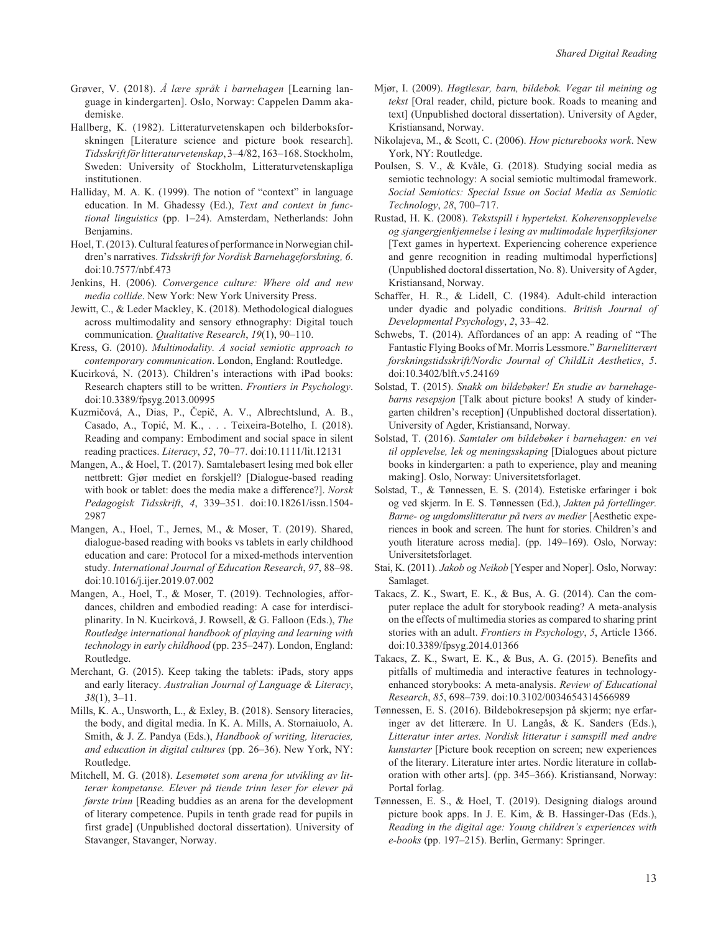Grøver, V. (2018). *Å lære språk i barnehagen* [Learning language in kindergarten]. Oslo, Norway: Cappelen Damm akademiske.

- Hallberg, K. (1982). Litteraturvetenskapen och bilderboksforskningen [Literature science and picture book research]. *Tidsskrift för litteraturvetenskap*, 3–4/82, 163–168. Stockholm, Sweden: University of Stockholm, Litteraturvetenskapliga institutionen.
- Halliday, M. A. K. (1999). The notion of "context" in language education. In M. Ghadessy (Ed.), *Text and context in functional linguistics* (pp. 1–24). Amsterdam, Netherlands: John Benjamins.
- Hoel, T. (2013). Cultural features of performance in Norwegian children's narratives. *Tidsskrift for Nordisk Barnehageforskning, 6*. doi:10.7577/nbf.473
- Jenkins, H. (2006). *Convergence culture: Where old and new media collide*. New York: New York University Press.
- Jewitt, C., & Leder Mackley, K. (2018). Methodological dialogues across multimodality and sensory ethnography: Digital touch communication. *Qualitative Research*, *19*(1), 90–110.
- Kress, G. (2010). *Multimodality. A social semiotic approach to contemporary communication*. London, England: Routledge.
- Kucirková, N. (2013). Children's interactions with iPad books: Research chapters still to be written. *Frontiers in Psychology*. doi:10.3389/fpsyg.2013.00995
- Kuzmičová, A., Dias, P., Čepič, A. V., Albrechtslund, A. B., Casado, A., Topić, M. K., . . . Teixeira-Botelho, I. (2018). Reading and company: Embodiment and social space in silent reading practices. *Literacy*, *52*, 70–77. doi:10.1111/lit.12131
- Mangen, A., & Hoel, T. (2017). Samtalebasert lesing med bok eller nettbrett: Gjør mediet en forskjell? [Dialogue-based reading with book or tablet: does the media make a difference?]. *Norsk Pedagogisk Tidsskrift*, *4*, 339–351. doi:10.18261/issn.1504- 2987
- Mangen, A., Hoel, T., Jernes, M., & Moser, T. (2019). Shared, dialogue-based reading with books vs tablets in early childhood education and care: Protocol for a mixed-methods intervention study. *International Journal of Education Research*, *97*, 88–98. doi:10.1016/j.ijer.2019.07.002
- Mangen, A., Hoel, T., & Moser, T. (2019). Technologies, affordances, children and embodied reading: A case for interdisciplinarity. In N. Kucirková, J. Rowsell, & G. Falloon (Eds.), *The Routledge international handbook of playing and learning with technology in early childhood* (pp. 235–247). London, England: Routledge.
- Merchant, G. (2015). Keep taking the tablets: iPads, story apps and early literacy. *Australian Journal of Language & Literacy*, *38*(1), 3–11.
- Mills, K. A., Unsworth, L., & Exley, B. (2018). Sensory literacies, the body, and digital media. In K. A. Mills, A. Stornaiuolo, A. Smith, & J. Z. Pandya (Eds.), *Handbook of writing, literacies, and education in digital cultures* (pp. 26–36). New York, NY: Routledge.
- Mitchell, M. G. (2018). *Lesemøtet som arena for utvikling av litterær kompetanse. Elever på tiende trinn leser for elever på første trinn* [Reading buddies as an arena for the development of literary competence. Pupils in tenth grade read for pupils in first grade] (Unpublished doctoral dissertation). University of Stavanger, Stavanger, Norway.
- Mjør, I. (2009). *Høgtlesar, barn, bildebok. Vegar til meining og tekst* [Oral reader, child, picture book. Roads to meaning and text] (Unpublished doctoral dissertation). University of Agder, Kristiansand, Norway.
- Nikolajeva, M., & Scott, C. (2006). *How picturebooks work*. New York, NY: Routledge.
- Poulsen, S. V., & Kvåle, G. (2018). Studying social media as semiotic technology: A social semiotic multimodal framework. *Social Semiotics: Special Issue on Social Media as Semiotic Technology*, *28*, 700–717.
- Rustad, H. K. (2008). *Tekstspill i hypertekst. Koherensopplevelse og sjangergjenkjennelse i lesing av multimodale hyperfiksjoner* [Text games in hypertext. Experiencing coherence experience and genre recognition in reading multimodal hyperfictions] (Unpublished doctoral dissertation, No. 8). University of Agder, Kristiansand, Norway.
- Schaffer, H. R., & Lidell, C. (1984). Adult-child interaction under dyadic and polyadic conditions. *British Journal of Developmental Psychology*, *2*, 33–42.
- Schwebs, T. (2014). Affordances of an app: A reading of "The Fantastic Flying Books of Mr. Morris Lessmore." *Barnelitterært forskningstidsskrift/Nordic Journal of ChildLit Aesthetics*, *5*. doi:10.3402/blft.v5.24169
- Solstad, T. (2015). *Snakk om bildebøker! En studie av barnehagebarns resepsjon* [Talk about picture books! A study of kindergarten children's reception] (Unpublished doctoral dissertation). University of Agder, Kristiansand, Norway.
- Solstad, T. (2016). *Samtaler om bildebøker i barnehagen: en vei til opplevelse, lek og meningsskaping* [Dialogues about picture books in kindergarten: a path to experience, play and meaning making]. Oslo, Norway: Universitetsforlaget.
- Solstad, T., & Tønnessen, E. S. (2014). Estetiske erfaringer i bok og ved skjerm. In E. S. Tønnessen (Ed.), *Jakten på fortellinger. Barne- og ungdomslitteratur på tvers av medier* [Aesthetic experiences in book and screen. The hunt for stories. Children's and youth literature across media]. (pp. 149–169). Oslo, Norway: Universitetsforlaget.
- Stai, K. (2011). *Jakob og Neikob* [Yesper and Noper]. Oslo, Norway: Samlaget.
- Takacs, Z. K., Swart, E. K., & Bus, A. G. (2014). Can the computer replace the adult for storybook reading? A meta-analysis on the effects of multimedia stories as compared to sharing print stories with an adult. *Frontiers in Psychology*, *5*, Article 1366. doi:10.3389/fpsyg.2014.01366
- Takacs, Z. K., Swart, E. K., & Bus, A. G. (2015). Benefits and pitfalls of multimedia and interactive features in technologyenhanced storybooks: A meta-analysis. *Review of Educational Research*, *85*, 698–739. doi:10.3102/0034654314566989
- Tønnessen, E. S. (2016). Bildebokresepsjon på skjerm; nye erfaringer av det litterære. In U. Langås, & K. Sanders (Eds.), *Litteratur inter artes. Nordisk litteratur i samspill med andre kunstarter* [Picture book reception on screen; new experiences of the literary. Literature inter artes. Nordic literature in collaboration with other arts]. (pp. 345–366). Kristiansand, Norway: Portal forlag.
- Tønnessen, E. S., & Hoel, T. (2019). Designing dialogs around picture book apps. In J. E. Kim, & B. Hassinger-Das (Eds.), *Reading in the digital age: Young children's experiences with e-books* (pp. 197–215). Berlin, Germany: Springer.